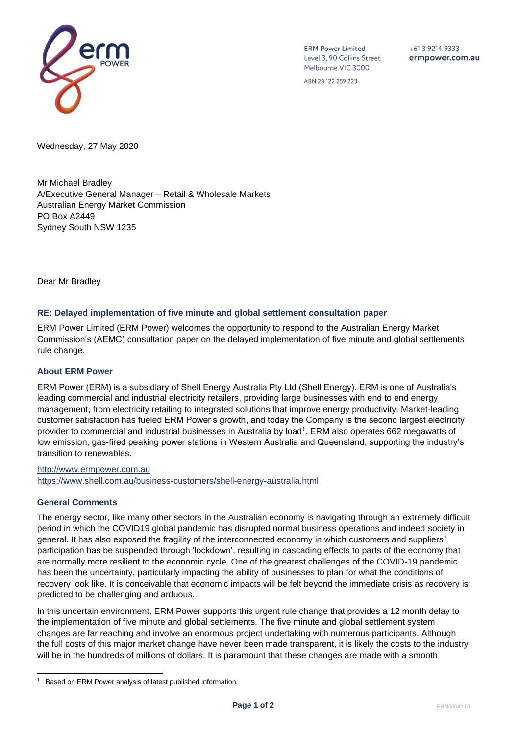

**ERM Power Limited** Level 3, 90 Collins Street Melbourne VIC 3000

 $+61392149333$ ermpower.com.au

ABN 28 122 259 223

Wednesday, 27 May 2020

Mr Michael Bradley A/Executive General Manager – Retail & Wholesale Markets Australian Energy Market Commission PO Box A2449 Sydney South NSW 1235

Dear Mr Bradley

## **RE: Delayed implementation of five minute and global settlement consultation paper**

ERM Power Limited (ERM Power) welcomes the opportunity to respond to the Australian Energy Market Commission's (AEMC) consultation paper on the delayed implementation of five minute and global settlements rule change.

## **About ERM Power**

ERM Power (ERM) is a subsidiary of Shell Energy Australia Pty Ltd (Shell Energy). ERM is one of Australia's leading commercial and industrial electricity retailers, providing large businesses with end to end energy management, from electricity retailing to integrated solutions that improve energy productivity. Market-leading customer satisfaction has fueled ERM Power's growth, and today the Company is the second largest electricity provider to commercial and industrial businesses in Australia by load<sup>1</sup>. ERM also operates 662 megawatts of low emission, gas-fired peaking power stations in Western Australia and Queensland, supporting the industry's transition to renewables.

[http://www.ermpower.com.au](http://www.ermpower.com.au/) <https://www.shell.com.au/business-customers/shell-energy-australia.html>

## **General Comments**

The energy sector, like many other sectors in the Australian economy is navigating through an extremely difficult period in which the COVID19 global pandemic has disrupted normal business operations and indeed society in general. It has also exposed the fragility of the interconnected economy in which customers and suppliers' participation has be suspended through 'lockdown', resulting in cascading effects to parts of the economy that are normally more resilient to the economic cycle. One of the greatest challenges of the COVID-19 pandemic has been the uncertainty, particularly impacting the ability of businesses to plan for what the conditions of recovery look like. It is conceivable that economic impacts will be felt beyond the immediate crisis as recovery is predicted to be challenging and arduous.

In this uncertain environment, ERM Power supports this urgent rule change that provides a 12 month delay to the implementation of five minute and global settlements. The five minute and global settlement system changes are far reaching and involve an enormous project undertaking with numerous participants. Although the full costs of this major market change have never been made transparent, it is likely the costs to the industry will be in the hundreds of millions of dollars. It is paramount that these changes are made with a smooth

<sup>1</sup> Based on ERM Power analysis of latest published information.